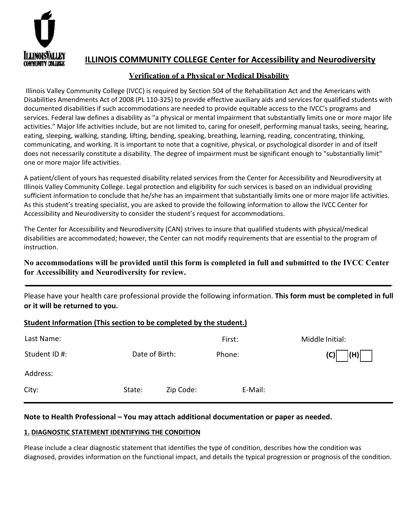

# **ILLINOIS COMMUNITY COLLEGE Center for Accessibility and Neurodiversity**

# **Verification of a Physical or Medical Disability**

Illinois Valley Community College (IVCC) is required by Section 504 of the Rehabilitation Act and the Americans with Disabilities Amendments Act of 2008 (PL 110-325) to provide effective auxiliary aids and services for qualified students with documented disabilities if such accommodations are needed to provide equitable access to the IVCC's programs and services. Federal law defines a disability as "a physical or mental impairment that substantially limits one or more major life activities." Major life activities include, but are not limited to, caring for oneself, performing manual tasks, seeing, hearing, eating, sleeping, walking, standing, lifting, bending, speaking, breathing, learning, reading, concentrating, thinking, communicating, and working. It is important to note that a cognitive, physical, or psychological disorder in and of itself does not necessarily constitute a disability. The degree of impairment must be significant enough to "substantially limit" one or more major life activities.

A patient/client of yours has requested disability related services from the Center for Accessibility and Neurodiversity at Illinois Valley Community College. Legal protection and eligibility for such services is based on an individual providing sufficient information to conclude that he/she has an impairment that substantially limits one or more major life activities. As this student's treating specialist, you are asked to provide the following information to allow the IVCC Center for Accessibility and Neurodiversity to consider the student's request for accommodations.

The Center for Accessibility and Neurodiversity (CAN) strives to insure that qualified students with physical/medical disabilities are accommodated; however, the Center can not modify requirements that are essential to the program of instruction.

**No accommodations will be provided until this form is completed in full and submitted to the IVCC Center for Accessibility and Neurodiversity for review.**

Please have your health care professional provide the following information. **This form must be completed in full or it will be returned to you.**

# **Student Information (This section to be completed by the student.)**

| Last Name:    |                |           | First: |         | Middle Initial: |
|---------------|----------------|-----------|--------|---------|-----------------|
| Student ID #: | Date of Birth: |           | Phone: |         | (H)<br>(C)      |
| Address:      |                |           |        |         |                 |
| City:         | State:         | Zip Code: |        | E-Mail: |                 |

# **Note to Health Professional – You may attach additional documentation or paper as needed.**

#### **1. DIAGNOSTIC STATEMENT IDENTIFYING THE CONDITION**

Please include a clear diagnostic statement that identifies the type of condition, describes how the condition was diagnosed, provides information on the functional impact, and details the typical progression or prognosis of the condition.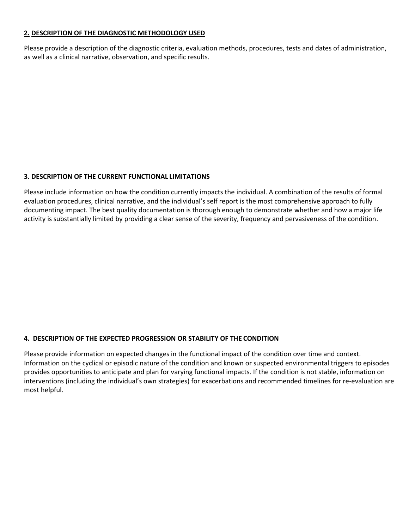#### **2. DESCRIPTION OF THE DIAGNOSTIC METHODOLOGY USED**

Please provide a description of the diagnostic criteria, evaluation methods, procedures, tests and dates of administration, as well as a clinical narrative, observation, and specific results.

## **3. DESCRIPTION OF THE CURRENT FUNCTIONAL LIMITATIONS**

Please include information on how the condition currently impacts the individual. A combination of the results of formal evaluation procedures, clinical narrative, and the individual's self report is the most comprehensive approach to fully documenting impact. The best quality documentation is thorough enough to demonstrate whether and how a major life activity is substantially limited by providing a clear sense of the severity, frequency and pervasiveness of the condition.

#### **4. DESCRIPTION OF THE EXPECTED PROGRESSION OR STABILITY OF THE CONDITION**

Please provide information on expected changes in the functional impact of the condition over time and context. Information on the cyclical or episodic nature of the condition and known or suspected environmental triggers to episodes provides opportunities to anticipate and plan for varying functional impacts. If the condition is not stable, information on interventions (including the individual's own strategies) for exacerbations and recommended timelines for re-evaluation are most helpful.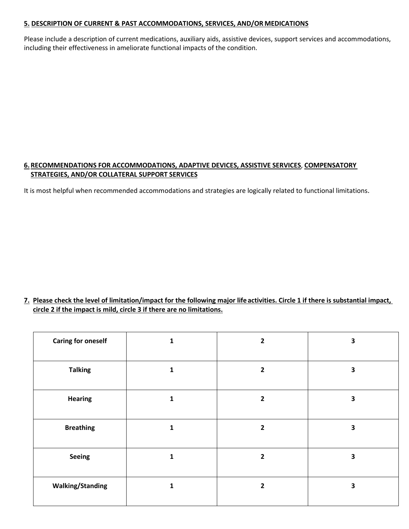#### **5. DESCRIPTION OF CURRENT & PAST ACCOMMODATIONS, SERVICES, AND/OR MEDICATIONS**

Please include a description of current medications, auxiliary aids, assistive devices, support services and accommodations, including their effectiveness in ameliorate functional impacts of the condition.

#### **6.RECOMMENDATIONS FOR ACCOMMODATIONS, ADAPTIVE DEVICES, ASSISTIVE SERVICES**, **COMPENSATORY STRATEGIES, AND/OR COLLATERAL SUPPORT SERVICES**

It is most helpful when recommended accommodations and strategies are logically related to functional limitations.

## **7. Please check the level of limitation/impact for the following major life activities. Circle 1 if there is substantial impact, circle 2 if the impact is mild, circle 3 if there are no limitations.**

| <b>Caring for oneself</b> | 1 | $\mathbf{2}$            | $\overline{\mathbf{3}}$ |
|---------------------------|---|-------------------------|-------------------------|
| <b>Talking</b>            | 1 | $\overline{2}$          | $\overline{\mathbf{3}}$ |
| <b>Hearing</b>            | 1 | $\overline{2}$          | $\overline{\mathbf{3}}$ |
| <b>Breathing</b>          | 1 | $\overline{2}$          | $\overline{\mathbf{3}}$ |
| Seeing                    | 1 | $\overline{2}$          | $\overline{\mathbf{3}}$ |
| <b>Walking/Standing</b>   | 1 | $\overline{\mathbf{2}}$ | 3                       |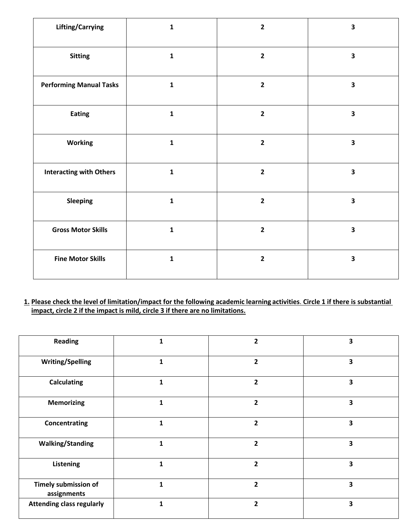| Lifting/Carrying               | $\mathbf{1}$ | $\overline{2}$          | $\overline{\mathbf{3}}$ |
|--------------------------------|--------------|-------------------------|-------------------------|
| <b>Sitting</b>                 | $\mathbf{1}$ | $\overline{2}$          | $\overline{\mathbf{3}}$ |
| <b>Performing Manual Tasks</b> | $\mathbf 1$  | $\overline{2}$          | 3                       |
| <b>Eating</b>                  | $\mathbf 1$  | $\overline{2}$          | 3                       |
| <b>Working</b>                 | $\mathbf 1$  | $\overline{2}$          | $\overline{\mathbf{3}}$ |
| <b>Interacting with Others</b> | $\mathbf 1$  | $\overline{\mathbf{2}}$ | 3                       |
| Sleeping                       | $\mathbf{1}$ | $\mathbf{2}$            | 3                       |
| <b>Gross Motor Skills</b>      | $\mathbf{1}$ | $\overline{2}$          | 3                       |
| <b>Fine Motor Skills</b>       | $\mathbf{1}$ | $\overline{2}$          | 3                       |

## **1. Please check the level of limitation/impact for the following academic learning activities**. **Circle 1 if there is substantial impact, circle 2 if the impact is mild, circle 3 if there are no limitations.**

| <b>Reading</b>                             |   | $\overline{\mathbf{z}}$ | 3 |
|--------------------------------------------|---|-------------------------|---|
| <b>Writing/Spelling</b>                    | 1 | $\overline{2}$          | 3 |
| <b>Calculating</b>                         | 1 | $\overline{2}$          | 3 |
| <b>Memorizing</b>                          | 1 | $\overline{2}$          | 3 |
| Concentrating                              | 1 | $\overline{2}$          | 3 |
| <b>Walking/Standing</b>                    | 1 | $\overline{2}$          | 3 |
| <b>Listening</b>                           | 1 | $\overline{2}$          | 3 |
| <b>Timely submission of</b><br>assignments | 1 | $\overline{2}$          | 3 |
| <b>Attending class regularly</b>           | 1 | $\overline{2}$          | 3 |